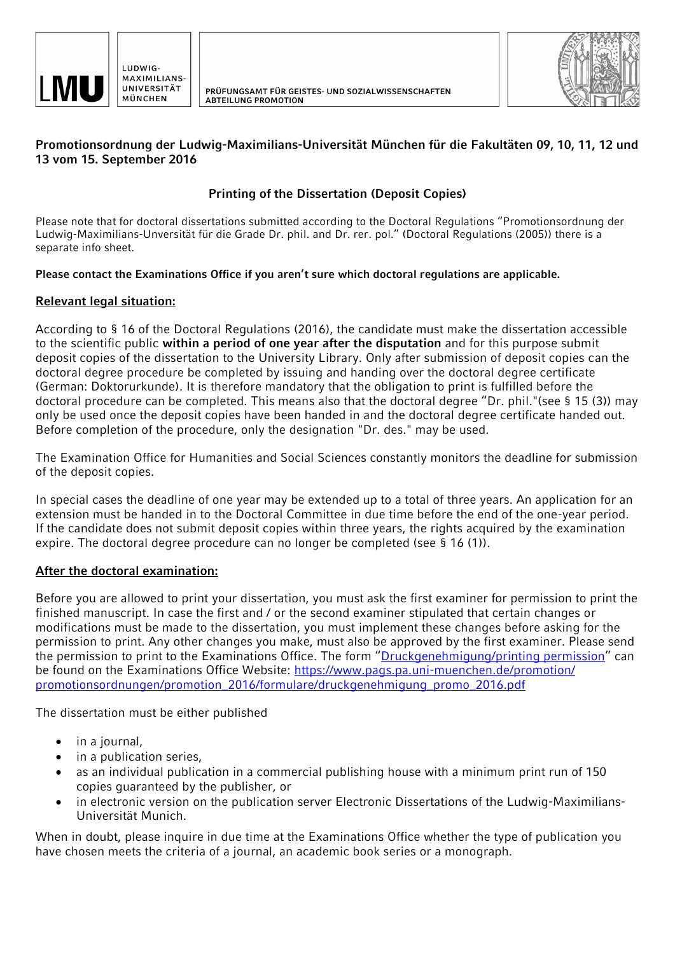



## **Promotionsordnung der Ludwig-Maximilians-Universität München für die Fakultäten 09, 10, 11, 12 und 13 vom 15. September 2016**

## **Printing of the Dissertation (Deposit Copies)**

Please note that for doctoral dissertations submitted according to the Doctoral Regulations "Promotionsordnung der Ludwig-Maximilians-Unversität für die Grade Dr. phil. and Dr. rer. pol." (Doctoral Regulations (2005)) there is a separate info sheet.

**Please contact the Examinations Office if you aren't sure which doctoral regulations are applicable.**

## **Relevant legal situation:**

According to § 16 of the Doctoral Regulations (2016), the candidate must make the dissertation accessible to the scientific public **within a period of one year after the disputation** and for this purpose submit deposit copies of the dissertation to the University Library. Only after submission of deposit copies can the doctoral degree procedure be completed by issuing and handing over the doctoral degree certificate (German: Doktorurkunde). It is therefore mandatory that the obligation to print is fulfilled before the doctoral procedure can be completed. This means also that the doctoral degree "Dr. phil."(see § 15 (3)) may only be used once the deposit copies have been handed in and the doctoral degree certificate handed out. Before completion of the procedure, only the designation "Dr. des." may be used.

The Examination Office for Humanities and Social Sciences constantly monitors the deadline for submission of the deposit copies.

In special cases the deadline of one year may be extended up to a total of three years. An application for an extension must be handed in to the Doctoral Committee in due time before the end of the one-year period. If the candidate does not submit deposit copies within three years, the rights acquired by the examination expire. The doctoral degree procedure can no longer be completed (see § 16 (1)).

## **After the doctoral examination:**

Before you are allowed to print your dissertation, you must ask the first examiner for permission to print the finished manuscript. In case the first and / or the second examiner stipulated that certain changes or modifications must be made to the dissertation, you must implement these changes before asking for the permission to print. Any other changes you make, must also be approved by the first examiner. Please send the permission to print to the Examinations Office. The form "[Druckgenehmigung/printing permission](https://www.pags.pa.uni-muenchen.de/promotion/%20promotionsordnungen/promotion_2016/formulare/druckgenehmigung_promo_2016.pdf)" can be found on the Examinations Office Website: [https://www.pags.pa.uni-muenchen.de/promotion/](https://www.pags.pa.uni-muenchen.de/promotion/%20promotionsordnungen/promotion_2016/formulare/druckgenehmigung_promo_2016.pdf)  [promotionsordnungen/promotion\\_2016/formulare/druckgenehmigung\\_promo\\_2016.pdf](https://www.pags.pa.uni-muenchen.de/promotion/%20promotionsordnungen/promotion_2016/formulare/druckgenehmigung_promo_2016.pdf)

The dissertation must be either published

- in a journal,
- in a publication series,
- as an individual publication in a commercial publishing house with a minimum print run of 150 copies guaranteed by the publisher, or
- in electronic version on the publication server Electronic Dissertations of the Ludwig-Maximilians-Universität Munich.

When in doubt, please inquire in due time at the Examinations Office whether the type of publication you have chosen meets the criteria of a journal, an academic book series or a monograph.